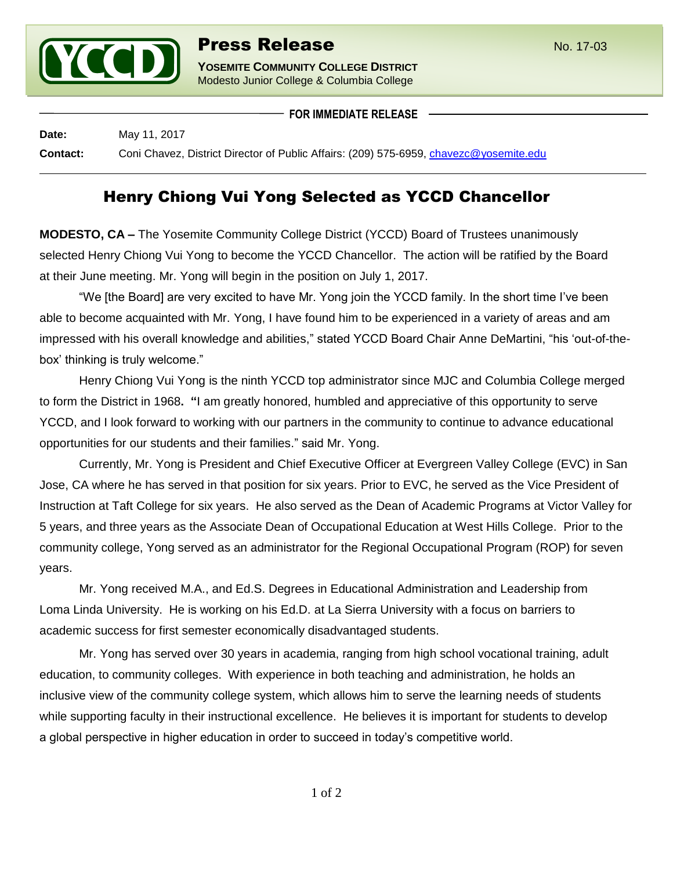

**FOR IMMEDIATE RELEASE**

**Date:** May 11, 2017 **Contact:** Coni Chavez, District Director of Public Affairs: (209) 575-6959, [chavezc@yosemite.edu](mailto:chavezc@yosemite.edu)

## Henry Chiong Vui Yong Selected as YCCD Chancellor

**MODESTO, CA –** The Yosemite Community College District (YCCD) Board of Trustees unanimously selected Henry Chiong Vui Yong to become the YCCD Chancellor. The action will be ratified by the Board at their June meeting. Mr. Yong will begin in the position on July 1, 2017.

"We [the Board] are very excited to have Mr. Yong join the YCCD family. In the short time I've been able to become acquainted with Mr. Yong, I have found him to be experienced in a variety of areas and am impressed with his overall knowledge and abilities," stated YCCD Board Chair Anne DeMartini, "his 'out-of-thebox' thinking is truly welcome."

Henry Chiong Vui Yong is the ninth YCCD top administrator since MJC and Columbia College merged to form the District in 1968**. "**I am greatly honored, humbled and appreciative of this opportunity to serve YCCD, and I look forward to working with our partners in the community to continue to advance educational opportunities for our students and their families." said Mr. Yong.

Currently, Mr. Yong is President and Chief Executive Officer at Evergreen Valley College (EVC) in San Jose, CA where he has served in that position for six years. Prior to EVC, he served as the Vice President of Instruction at Taft College for six years. He also served as the Dean of Academic Programs at Victor Valley for 5 years, and three years as the Associate Dean of Occupational Education at West Hills College. Prior to the community college, Yong served as an administrator for the Regional Occupational Program (ROP) for seven years.

Mr. Yong received M.A., and Ed.S. Degrees in Educational Administration and Leadership from Loma Linda University. He is working on his Ed.D. at La Sierra University with a focus on barriers to academic success for first semester economically disadvantaged students.

Mr. Yong has served over 30 years in academia, ranging from high school vocational training, adult education, to community colleges. With experience in both teaching and administration, he holds an inclusive view of the community college system, which allows him to serve the learning needs of students while supporting faculty in their instructional excellence. He believes it is important for students to develop a global perspective in higher education in order to succeed in today's competitive world.